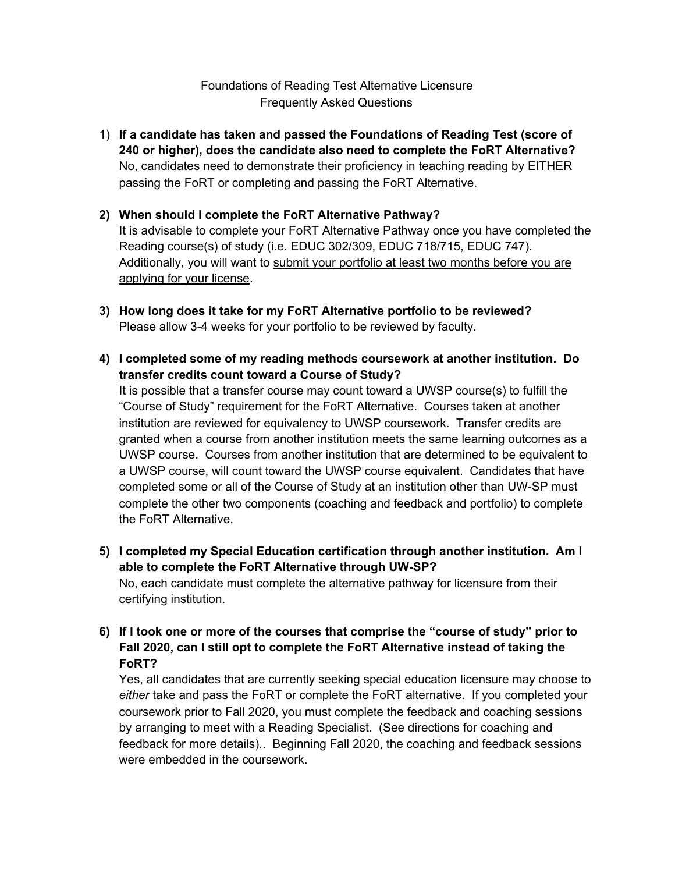## Foundations of Reading Test Alternative Licensure Frequently Asked Questions

1) **If a candidate has taken and passed the Foundations of Reading Test (score of 240 or higher), does the candidate also need to complete the FoRT Alternative?** No, candidates need to demonstrate their proficiency in teaching reading by EITHER passing the FoRT or completing and passing the FoRT Alternative.

### **2) When should I complete the FoRT Alternative Pathway?**

It is advisable to complete your FoRT Alternative Pathway once you have completed the Reading course(s) of study (i.e. EDUC 302/309, EDUC 718/715, EDUC 747). Additionally, you will want to submit your portfolio at least two months before you are applying for your license.

- **3) How long does it take for my FoRT Alternative portfolio to be reviewed?** Please allow 3-4 weeks for your portfolio to be reviewed by faculty.
- **4) I completed some of my reading methods coursework at another institution. Do transfer credits count toward a Course of Study?**

It is possible that a transfer course may count toward a UWSP course(s) to fulfill the "Course of Study" requirement for the FoRT Alternative. Courses taken at another institution are reviewed for equivalency to UWSP coursework. Transfer credits are granted when a course from another institution meets the same learning outcomes as a UWSP course. Courses from another institution that are determined to be equivalent to a UWSP course, will count toward the UWSP course equivalent. Candidates that have completed some or all of the Course of Study at an institution other than UW-SP must complete the other two components (coaching and feedback and portfolio) to complete the FoRT Alternative.

- **5) I completed my Special Education certification through another institution. Am I able to complete the FoRT Alternative through UW-SP?** No, each candidate must complete the alternative pathway for licensure from their certifying institution.
- **6) If I took one or more of the courses that comprise the "course of study" prior to Fall 2020, can I still opt to complete the FoRT Alternative instead of taking the FoRT?**

Yes, all candidates that are currently seeking special education licensure may choose to *either* take and pass the FoRT or complete the FoRT alternative. If you completed your coursework prior to Fall 2020, you must complete the feedback and coaching sessions by arranging to meet with a Reading Specialist. (See directions for coaching and feedback for more details).. Beginning Fall 2020, the coaching and feedback sessions were embedded in the coursework.